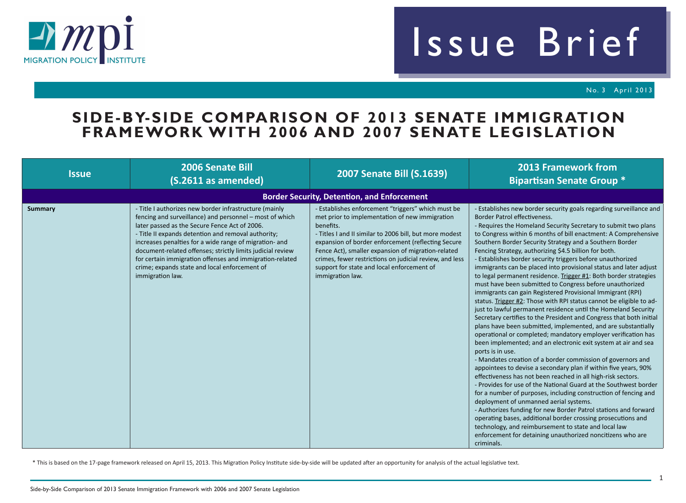

## Issue Brief

No. 3 April 2013

## **SIDE-BY-SIDE COMPARISON OF 2013 SENATE IMMIGRATION FRAMEWORK WITH 2006 AND 2007 SENATE LEGISLATION**

| <b>Issue</b>   | <b>2006 Senate Bill</b><br>(S.2611 as amended)                                                                                                                                                                                                                                                                                                                                                                                                                                     | <b>2007 Senate Bill (S.1639)</b>                                                                                                                                                                                                                                                                                                                                                                                      | <b>2013 Framework from</b><br><b>Bipartisan Senate Group *</b>                                                                                                                                                                                                                                                                                                                                                                                                                                                                                                                                                                                                                                                                                                                                                                                                                                                                                                                                                                                                                                                                                                                                                                                                                                                                                                                                                                                                                                                                                                                                                                                                                                                                                                                                |
|----------------|------------------------------------------------------------------------------------------------------------------------------------------------------------------------------------------------------------------------------------------------------------------------------------------------------------------------------------------------------------------------------------------------------------------------------------------------------------------------------------|-----------------------------------------------------------------------------------------------------------------------------------------------------------------------------------------------------------------------------------------------------------------------------------------------------------------------------------------------------------------------------------------------------------------------|-----------------------------------------------------------------------------------------------------------------------------------------------------------------------------------------------------------------------------------------------------------------------------------------------------------------------------------------------------------------------------------------------------------------------------------------------------------------------------------------------------------------------------------------------------------------------------------------------------------------------------------------------------------------------------------------------------------------------------------------------------------------------------------------------------------------------------------------------------------------------------------------------------------------------------------------------------------------------------------------------------------------------------------------------------------------------------------------------------------------------------------------------------------------------------------------------------------------------------------------------------------------------------------------------------------------------------------------------------------------------------------------------------------------------------------------------------------------------------------------------------------------------------------------------------------------------------------------------------------------------------------------------------------------------------------------------------------------------------------------------------------------------------------------------|
|                |                                                                                                                                                                                                                                                                                                                                                                                                                                                                                    | <b>Border Security, Detention, and Enforcement</b>                                                                                                                                                                                                                                                                                                                                                                    |                                                                                                                                                                                                                                                                                                                                                                                                                                                                                                                                                                                                                                                                                                                                                                                                                                                                                                                                                                                                                                                                                                                                                                                                                                                                                                                                                                                                                                                                                                                                                                                                                                                                                                                                                                                               |
| <b>Summary</b> | - Title I authorizes new border infrastructure (mainly<br>fencing and surveillance) and personnel - most of which<br>later passed as the Secure Fence Act of 2006.<br>- Title II expands detention and removal authority;<br>increases penalties for a wide range of migration- and<br>document-related offenses; strictly limits judicial review<br>for certain immigration offenses and immigration-related<br>crime; expands state and local enforcement of<br>immigration law. | - Establishes enforcement "triggers" which must be<br>met prior to implementation of new immigration<br>benefits.<br>- Titles I and II similar to 2006 bill, but more modest<br>expansion of border enforcement (reflecting Secure<br>Fence Act), smaller expansion of migration-related<br>crimes, fewer restrictions on judicial review, and less<br>support for state and local enforcement of<br>immigration law. | - Establishes new border security goals regarding surveillance and<br>Border Patrol effectiveness.<br>- Requires the Homeland Security Secretary to submit two plans<br>to Congress within 6 months of bill enactment: A Comprehensive<br>Southern Border Security Strategy and a Southern Border<br>Fencing Strategy, authorizing \$4.5 billion for both.<br>- Establishes border security triggers before unauthorized<br>immigrants can be placed into provisional status and later adjust<br>to legal permanent residence. Trigger #1: Both border strategies<br>must have been submitted to Congress before unauthorized<br>immigrants can gain Registered Provisional Immigrant (RPI)<br>status. Trigger #2: Those with RPI status cannot be eligible to ad-<br>just to lawful permanent residence until the Homeland Security<br>Secretary certifies to the President and Congress that both initial<br>plans have been submitted, implemented, and are substantially<br>operational or completed; mandatory employer verification has<br>been implemented; and an electronic exit system at air and sea<br>ports is in use.<br>- Mandates creation of a border commission of governors and<br>appointees to devise a secondary plan if within five years, 90%<br>effectiveness has not been reached in all high-risk sectors.<br>- Provides for use of the National Guard at the Southwest border<br>for a number of purposes, including construction of fencing and<br>deployment of unmanned aerial systems.<br>- Authorizes funding for new Border Patrol stations and forward<br>operating bases, additional border crossing prosecutions and<br>technology, and reimbursement to state and local law<br>enforcement for detaining unauthorized noncitizens who are<br>criminals. |

\* This is based on the 17-page framework released on April 15, 2013. This Migration Policy Institute side-by-side will be updated after an opportunity for analysis of the actual legislative text.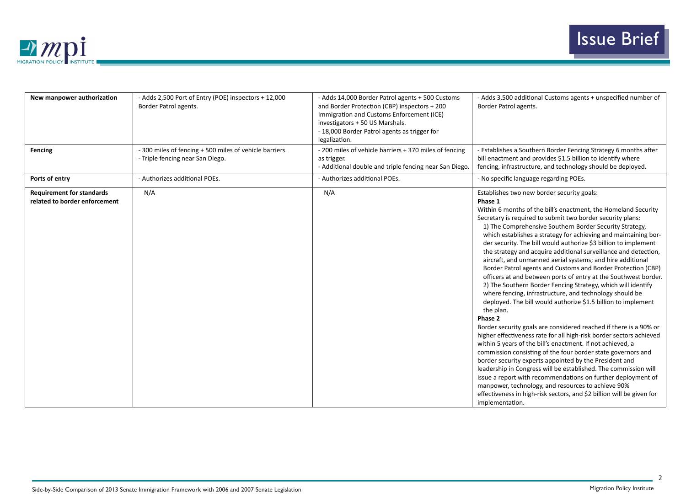

| New manpower authorization                                        | - Adds 2,500 Port of Entry (POE) inspectors + 12,000<br>Border Patrol agents.               | - Adds 14,000 Border Patrol agents + 500 Customs<br>and Border Protection (CBP) inspectors + 200<br>Immigration and Customs Enforcement (ICE)<br>investigators + 50 US Marshals.<br>- 18,000 Border Patrol agents as trigger for<br>legalization. | - Adds 3,500 additional Customs agents + unspecified number of<br>Border Patrol agents.                                                                                                                                                                                                                                                                                                                                                                                                                                                                                                                                                                                                                                                                                                                                                                                                                                                                                                                                                                                                                                                                                                                                                                                                                                                                                                                                                                                                                 |
|-------------------------------------------------------------------|---------------------------------------------------------------------------------------------|---------------------------------------------------------------------------------------------------------------------------------------------------------------------------------------------------------------------------------------------------|---------------------------------------------------------------------------------------------------------------------------------------------------------------------------------------------------------------------------------------------------------------------------------------------------------------------------------------------------------------------------------------------------------------------------------------------------------------------------------------------------------------------------------------------------------------------------------------------------------------------------------------------------------------------------------------------------------------------------------------------------------------------------------------------------------------------------------------------------------------------------------------------------------------------------------------------------------------------------------------------------------------------------------------------------------------------------------------------------------------------------------------------------------------------------------------------------------------------------------------------------------------------------------------------------------------------------------------------------------------------------------------------------------------------------------------------------------------------------------------------------------|
| <b>Fencing</b>                                                    | - 300 miles of fencing + 500 miles of vehicle barriers.<br>- Triple fencing near San Diego. | - 200 miles of vehicle barriers + 370 miles of fencing<br>as trigger.<br>- Additional double and triple fencing near San Diego.                                                                                                                   | - Establishes a Southern Border Fencing Strategy 6 months after<br>bill enactment and provides \$1.5 billion to identify where<br>fencing, infrastructure, and technology should be deployed.                                                                                                                                                                                                                                                                                                                                                                                                                                                                                                                                                                                                                                                                                                                                                                                                                                                                                                                                                                                                                                                                                                                                                                                                                                                                                                           |
| Ports of entry                                                    | - Authorizes additional POEs.                                                               | - Authorizes additional POEs.                                                                                                                                                                                                                     | - No specific language regarding POEs.                                                                                                                                                                                                                                                                                                                                                                                                                                                                                                                                                                                                                                                                                                                                                                                                                                                                                                                                                                                                                                                                                                                                                                                                                                                                                                                                                                                                                                                                  |
| <b>Requirement for standards</b><br>related to border enforcement | N/A                                                                                         | N/A                                                                                                                                                                                                                                               | Establishes two new border security goals:<br>Phase 1<br>Within 6 months of the bill's enactment, the Homeland Security<br>Secretary is required to submit two border security plans:<br>1) The Comprehensive Southern Border Security Strategy,<br>which establishes a strategy for achieving and maintaining bor-<br>der security. The bill would authorize \$3 billion to implement<br>the strategy and acquire additional surveillance and detection,<br>aircraft, and unmanned aerial systems; and hire additional<br>Border Patrol agents and Customs and Border Protection (CBP)<br>officers at and between ports of entry at the Southwest border.<br>2) The Southern Border Fencing Strategy, which will identify<br>where fencing, infrastructure, and technology should be<br>deployed. The bill would authorize \$1.5 billion to implement<br>the plan.<br>Phase 2<br>Border security goals are considered reached if there is a 90% or<br>higher effectiveness rate for all high-risk border sectors achieved<br>within 5 years of the bill's enactment. If not achieved, a<br>commission consisting of the four border state governors and<br>border security experts appointed by the President and<br>leadership in Congress will be established. The commission will<br>issue a report with recommendations on further deployment of<br>manpower, technology, and resources to achieve 90%<br>effectiveness in high-risk sectors, and \$2 billion will be given for<br>implementation. |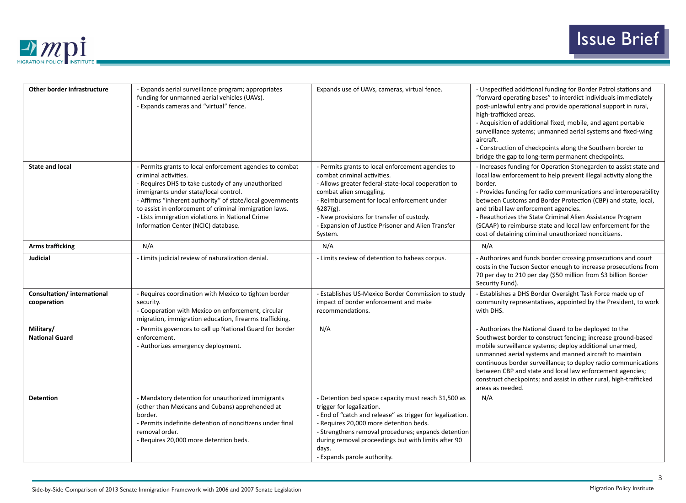

| Other border infrastructure               | - Expands aerial surveillance program; appropriates<br>funding for unmanned aerial vehicles (UAVs).<br>- Expands cameras and "virtual" fence.                                                                                                                                                                                                                                                     | Expands use of UAVs, cameras, virtual fence.                                                                                                                                                                                                                                                                                                  | - Unspecified additional funding for Border Patrol stations and<br>"forward operating bases" to interdict individuals immediately<br>post-unlawful entry and provide operational support in rural,<br>high-trafficked areas.<br>- Acquisition of additional fixed, mobile, and agent portable<br>surveillance systems; unmanned aerial systems and fixed-wing<br>aircraft.<br>- Construction of checkpoints along the Southern border to<br>bridge the gap to long-term permanent checkpoints.                      |
|-------------------------------------------|---------------------------------------------------------------------------------------------------------------------------------------------------------------------------------------------------------------------------------------------------------------------------------------------------------------------------------------------------------------------------------------------------|-----------------------------------------------------------------------------------------------------------------------------------------------------------------------------------------------------------------------------------------------------------------------------------------------------------------------------------------------|---------------------------------------------------------------------------------------------------------------------------------------------------------------------------------------------------------------------------------------------------------------------------------------------------------------------------------------------------------------------------------------------------------------------------------------------------------------------------------------------------------------------|
| <b>State and local</b>                    | - Permits grants to local enforcement agencies to combat<br>criminal activities.<br>- Requires DHS to take custody of any unauthorized<br>immigrants under state/local control.<br>- Affirms "inherent authority" of state/local governments<br>to assist in enforcement of criminal immigration laws.<br>- Lists immigration violations in National Crime<br>Information Center (NCIC) database. | - Permits grants to local enforcement agencies to<br>combat criminal activities.<br>- Allows greater federal-state-local cooperation to<br>combat alien smuggling.<br>- Reimbursement for local enforcement under<br>§287(g).<br>- New provisions for transfer of custody.<br>- Expansion of Justice Prisoner and Alien Transfer<br>System.   | - Increases funding for Operation Stonegarden to assist state and<br>local law enforcement to help prevent illegal activity along the<br>border.<br>- Provides funding for radio communications and interoperability<br>between Customs and Border Protection (CBP) and state, local,<br>and tribal law enforcement agencies.<br>- Reauthorizes the State Criminal Alien Assistance Program<br>(SCAAP) to reimburse state and local law enforcement for the<br>cost of detaining criminal unauthorized noncitizens. |
| <b>Arms trafficking</b>                   | N/A                                                                                                                                                                                                                                                                                                                                                                                               | N/A                                                                                                                                                                                                                                                                                                                                           | N/A                                                                                                                                                                                                                                                                                                                                                                                                                                                                                                                 |
| <b>Judicial</b>                           | - Limits judicial review of naturalization denial.                                                                                                                                                                                                                                                                                                                                                | - Limits review of detention to habeas corpus.                                                                                                                                                                                                                                                                                                | - Authorizes and funds border crossing prosecutions and court<br>costs in the Tucson Sector enough to increase prosecutions from<br>70 per day to 210 per day (\$50 million from \$3 billion Border<br>Security Fund).                                                                                                                                                                                                                                                                                              |
| Consultation/international<br>cooperation | - Requires coordination with Mexico to tighten border<br>security.<br>- Cooperation with Mexico on enforcement, circular<br>migration, immigration education, firearms trafficking.                                                                                                                                                                                                               | - Establishes US-Mexico Border Commission to study<br>impact of border enforcement and make<br>recommendations.                                                                                                                                                                                                                               | - Establishes a DHS Border Oversight Task Force made up of<br>community representatives, appointed by the President, to work<br>with DHS.                                                                                                                                                                                                                                                                                                                                                                           |
| Military/<br><b>National Guard</b>        | - Permits governors to call up National Guard for border<br>enforcement.<br>- Authorizes emergency deployment.                                                                                                                                                                                                                                                                                    | N/A                                                                                                                                                                                                                                                                                                                                           | - Authorizes the National Guard to be deployed to the<br>Southwest border to construct fencing; increase ground-based<br>mobile surveillance systems; deploy additional unarmed,<br>unmanned aerial systems and manned aircraft to maintain<br>continuous border surveillance; to deploy radio communications<br>between CBP and state and local law enforcement agencies;<br>construct checkpoints; and assist in other rural, high-trafficked<br>areas as needed.                                                 |
| <b>Detention</b>                          | - Mandatory detention for unauthorized immigrants<br>(other than Mexicans and Cubans) apprehended at<br>border.<br>- Permits indefinite detention of noncitizens under final<br>removal order.<br>- Requires 20,000 more detention beds.                                                                                                                                                          | - Detention bed space capacity must reach 31,500 as<br>trigger for legalization.<br>- End of "catch and release" as trigger for legalization.<br>- Requires 20,000 more detention beds.<br>- Strengthens removal procedures; expands detention<br>during removal proceedings but with limits after 90<br>days.<br>- Expands parole authority. | N/A                                                                                                                                                                                                                                                                                                                                                                                                                                                                                                                 |

3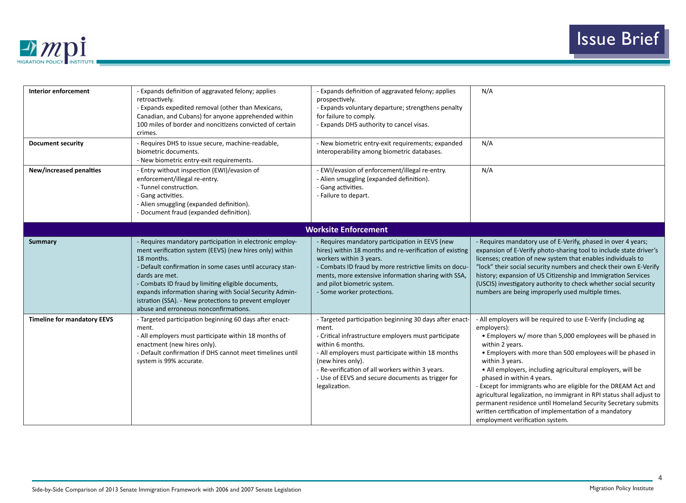

| <b>Interior enforcement</b>        | - Expands definition of aggravated felony; applies<br>retroactively.<br>- Expands expedited removal (other than Mexicans,<br>Canadian, and Cubans) for anyone apprehended within<br>100 miles of border and noncitizens convicted of certain<br>crimes.                                                                                                                                                                              | - Expands definition of aggravated felony; applies<br>prospectively.<br>- Expands voluntary departure; strengthens penalty<br>for failure to comply.<br>- Expands DHS authority to cancel visas.                                                                                                                                                 | N/A                                                                                                                                                                                                                                                                                                                                                                                                                                                                                                                                                                                                                                                 |
|------------------------------------|--------------------------------------------------------------------------------------------------------------------------------------------------------------------------------------------------------------------------------------------------------------------------------------------------------------------------------------------------------------------------------------------------------------------------------------|--------------------------------------------------------------------------------------------------------------------------------------------------------------------------------------------------------------------------------------------------------------------------------------------------------------------------------------------------|-----------------------------------------------------------------------------------------------------------------------------------------------------------------------------------------------------------------------------------------------------------------------------------------------------------------------------------------------------------------------------------------------------------------------------------------------------------------------------------------------------------------------------------------------------------------------------------------------------------------------------------------------------|
| <b>Document security</b>           | - Requires DHS to issue secure, machine-readable,<br>biometric documents.<br>- New biometric entry-exit requirements.                                                                                                                                                                                                                                                                                                                | - New biometric entry-exit requirements; expanded<br>interoperability among biometric databases.                                                                                                                                                                                                                                                 | N/A                                                                                                                                                                                                                                                                                                                                                                                                                                                                                                                                                                                                                                                 |
| <b>New/increased penalties</b>     | - Entry without inspection (EWI)/evasion of<br>enforcement/illegal re-entry.<br>- Tunnel construction.<br>- Gang activities.<br>- Alien smuggling (expanded definition).<br>- Document fraud (expanded definition).                                                                                                                                                                                                                  | - EWI/evasion of enforcement/illegal re-entry.<br>- Alien smuggling (expanded definition).<br>- Gang activities.<br>- Failure to depart.                                                                                                                                                                                                         | N/A                                                                                                                                                                                                                                                                                                                                                                                                                                                                                                                                                                                                                                                 |
|                                    |                                                                                                                                                                                                                                                                                                                                                                                                                                      | <b>Worksite Enforcement</b>                                                                                                                                                                                                                                                                                                                      |                                                                                                                                                                                                                                                                                                                                                                                                                                                                                                                                                                                                                                                     |
| <b>Summary</b>                     | - Requires mandatory participation in electronic employ-<br>ment verification system (EEVS) (new hires only) within<br>18 months.<br>- Default confirmation in some cases until accuracy stan-<br>dards are met.<br>- Combats ID fraud by limiting eligible documents,<br>expands information sharing with Social Security Admin-<br>istration (SSA). - New protections to prevent employer<br>abuse and erroneous nonconfirmations. | - Requires mandatory participation in EEVS (new<br>hires) within 18 months and re-verification of existing<br>workers within 3 years.<br>- Combats ID fraud by more restrictive limits on docu-<br>ments, more extensive information sharing with SSA,<br>and pilot biometric system.<br>- Some worker protections.                              | - Requires mandatory use of E-Verify, phased in over 4 years;<br>expansion of E-Verify photo-sharing tool to include state driver's<br>licenses; creation of new system that enables individuals to<br>"lock" their social security numbers and check their own E-Verify<br>history; expansion of US Citizenship and Immigration Services<br>(USCIS) investigatory authority to check whether social security<br>numbers are being improperly used multiple times.                                                                                                                                                                                  |
| <b>Timeline for mandatory EEVS</b> | - Targeted participation beginning 60 days after enact-<br>ment.<br>- All employers must participate within 18 months of<br>enactment (new hires only).<br>- Default confirmation if DHS cannot meet timelines until<br>system is 99% accurate.                                                                                                                                                                                      | - Targeted participation beginning 30 days after enact-<br>ment.<br>- Critical infrastructure employers must participate<br>within 6 months.<br>- All employers must participate within 18 months<br>(new hires only).<br>- Re-verification of all workers within 3 years.<br>- Use of EEVS and secure documents as trigger for<br>legalization. | - All employers will be required to use E-Verify (including ag<br>employers):<br>• Employers w/ more than 5,000 employees will be phased in<br>within 2 years.<br>• Employers with more than 500 employees will be phased in<br>within 3 years.<br>• All employers, including agricultural employers, will be<br>phased in within 4 years.<br>- Except for immigrants who are eligible for the DREAM Act and<br>agricultural legalization, no immigrant in RPI status shall adjust to<br>permanent residence until Homeland Security Secretary submits<br>written certification of implementation of a mandatory<br>employment verification system. |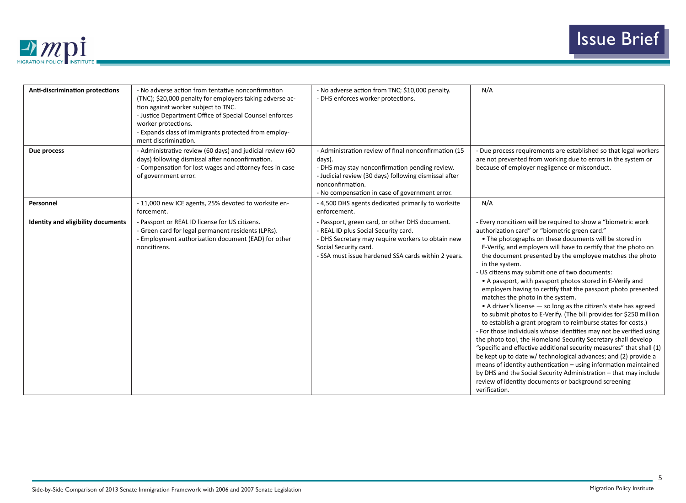

| <b>Anti-discrimination protections</b> | - No adverse action from tentative nonconfirmation<br>(TNC); \$20,000 penalty for employers taking adverse ac-<br>tion against worker subject to TNC.<br>- Justice Department Office of Special Counsel enforces<br>worker protections.<br>- Expands class of immigrants protected from employ-<br>ment discrimination. | - No adverse action from TNC; \$10,000 penalty.<br>- DHS enforces worker protections.                                                                                                                                                           | N/A                                                                                                                                                                                                                                                                                                                                                                                                                                                                                                                                                                                                                                                                                                                                                                                                                                                                                                                                                                                                                                                                                                                                                                                                                                                       |
|----------------------------------------|-------------------------------------------------------------------------------------------------------------------------------------------------------------------------------------------------------------------------------------------------------------------------------------------------------------------------|-------------------------------------------------------------------------------------------------------------------------------------------------------------------------------------------------------------------------------------------------|-----------------------------------------------------------------------------------------------------------------------------------------------------------------------------------------------------------------------------------------------------------------------------------------------------------------------------------------------------------------------------------------------------------------------------------------------------------------------------------------------------------------------------------------------------------------------------------------------------------------------------------------------------------------------------------------------------------------------------------------------------------------------------------------------------------------------------------------------------------------------------------------------------------------------------------------------------------------------------------------------------------------------------------------------------------------------------------------------------------------------------------------------------------------------------------------------------------------------------------------------------------|
| Due process                            | - Administrative review (60 days) and judicial review (60<br>days) following dismissal after nonconfirmation.<br>- Compensation for lost wages and attorney fees in case<br>of government error.                                                                                                                        | - Administration review of final nonconfirmation (15<br>days).<br>- DHS may stay nonconfirmation pending review.<br>- Judicial review (30 days) following dismissal after<br>nonconfirmation.<br>- No compensation in case of government error. | - Due process requirements are established so that legal workers<br>are not prevented from working due to errors in the system or<br>because of employer negligence or misconduct.                                                                                                                                                                                                                                                                                                                                                                                                                                                                                                                                                                                                                                                                                                                                                                                                                                                                                                                                                                                                                                                                        |
| Personnel                              | - 11,000 new ICE agents, 25% devoted to worksite en-<br>forcement.                                                                                                                                                                                                                                                      | - 4,500 DHS agents dedicated primarily to worksite<br>enforcement.                                                                                                                                                                              | N/A                                                                                                                                                                                                                                                                                                                                                                                                                                                                                                                                                                                                                                                                                                                                                                                                                                                                                                                                                                                                                                                                                                                                                                                                                                                       |
| Identity and eligibility documents     | - Passport or REAL ID license for US citizens.<br>- Green card for legal permanent residents (LPRs).<br>- Employment authorization document (EAD) for other<br>noncitizens.                                                                                                                                             | - Passport, green card, or other DHS document.<br>- REAL ID plus Social Security card.<br>- DHS Secretary may require workers to obtain new<br>Social Security card.<br>- SSA must issue hardened SSA cards within 2 years.                     | - Every noncitizen will be required to show a "biometric work<br>authorization card" or "biometric green card."<br>• The photographs on these documents will be stored in<br>E-Verify, and employers will have to certify that the photo on<br>the document presented by the employee matches the photo<br>in the system.<br>- US citizens may submit one of two documents:<br>• A passport, with passport photos stored in E-Verify and<br>employers having to certify that the passport photo presented<br>matches the photo in the system.<br>• A driver's license - so long as the citizen's state has agreed<br>to submit photos to E-Verify. (The bill provides for \$250 million<br>to establish a grant program to reimburse states for costs.)<br>- For those individuals whose identities may not be verified using<br>the photo tool, the Homeland Security Secretary shall develop<br>"specific and effective additional security measures" that shall (1)<br>be kept up to date w/ technological advances; and (2) provide a<br>means of identity authentication - using information maintained<br>by DHS and the Social Security Administration - that may include<br>review of identity documents or background screening<br>verification. |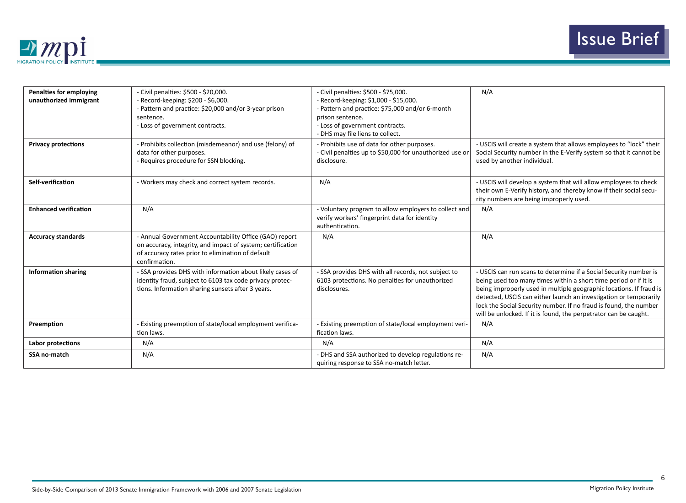

| <b>Penalties for employing</b><br>unauthorized immigrant | - Civil penalties: \$500 - \$20,000.<br>- Record-keeping: \$200 - \$6,000.<br>- Pattern and practice: \$20,000 and/or 3-year prison<br>sentence.<br>- Loss of government contracts.         | - Civil penalties: \$500 - \$75,000.<br>- Record-keeping: \$1,000 - \$15,000.<br>- Pattern and practice: \$75,000 and/or 6-month<br>prison sentence.<br>- Loss of government contracts.<br>- DHS may file liens to collect. | N/A                                                                                                                                                                                                                                                                                                                                                                                                                        |
|----------------------------------------------------------|---------------------------------------------------------------------------------------------------------------------------------------------------------------------------------------------|-----------------------------------------------------------------------------------------------------------------------------------------------------------------------------------------------------------------------------|----------------------------------------------------------------------------------------------------------------------------------------------------------------------------------------------------------------------------------------------------------------------------------------------------------------------------------------------------------------------------------------------------------------------------|
| <b>Privacy protections</b>                               | - Prohibits collection (misdemeanor) and use (felony) of<br>data for other purposes.<br>- Requires procedure for SSN blocking.                                                              | - Prohibits use of data for other purposes.<br>- Civil penalties up to \$50,000 for unauthorized use or<br>disclosure.                                                                                                      | - USCIS will create a system that allows employees to "lock" their<br>Social Security number in the E-Verify system so that it cannot be<br>used by another individual.                                                                                                                                                                                                                                                    |
| Self-verification                                        | - Workers may check and correct system records.                                                                                                                                             | N/A                                                                                                                                                                                                                         | - USCIS will develop a system that will allow employees to check<br>their own E-Verify history, and thereby know if their social secu-<br>rity numbers are being improperly used.                                                                                                                                                                                                                                          |
| <b>Enhanced verification</b>                             | N/A                                                                                                                                                                                         | - Voluntary program to allow employers to collect and<br>verify workers' fingerprint data for identity<br>authentication.                                                                                                   | N/A                                                                                                                                                                                                                                                                                                                                                                                                                        |
| <b>Accuracy standards</b>                                | - Annual Government Accountability Office (GAO) report<br>on accuracy, integrity, and impact of system; certification<br>of accuracy rates prior to elimination of default<br>confirmation. | N/A                                                                                                                                                                                                                         | N/A                                                                                                                                                                                                                                                                                                                                                                                                                        |
| <b>Information sharing</b>                               | - SSA provides DHS with information about likely cases of<br>identity fraud, subject to 6103 tax code privacy protec-<br>tions. Information sharing sunsets after 3 years.                  | - SSA provides DHS with all records, not subject to<br>6103 protections. No penalties for unauthorized<br>disclosures.                                                                                                      | - USCIS can run scans to determine if a Social Security number is<br>being used too many times within a short time period or if it is<br>being improperly used in multiple geographic locations. If fraud is<br>detected, USCIS can either launch an investigation or temporarily<br>lock the Social Security number. If no fraud is found, the number<br>will be unlocked. If it is found, the perpetrator can be caught. |
| Preemption                                               | - Existing preemption of state/local employment verifica-<br>tion laws.                                                                                                                     | - Existing preemption of state/local employment veri-<br>fication laws.                                                                                                                                                     | N/A                                                                                                                                                                                                                                                                                                                                                                                                                        |
| Labor protections                                        | N/A                                                                                                                                                                                         | N/A                                                                                                                                                                                                                         | N/A                                                                                                                                                                                                                                                                                                                                                                                                                        |
| <b>SSA no-match</b>                                      | N/A                                                                                                                                                                                         | - DHS and SSA authorized to develop regulations re-<br>quiring response to SSA no-match letter.                                                                                                                             | N/A                                                                                                                                                                                                                                                                                                                                                                                                                        |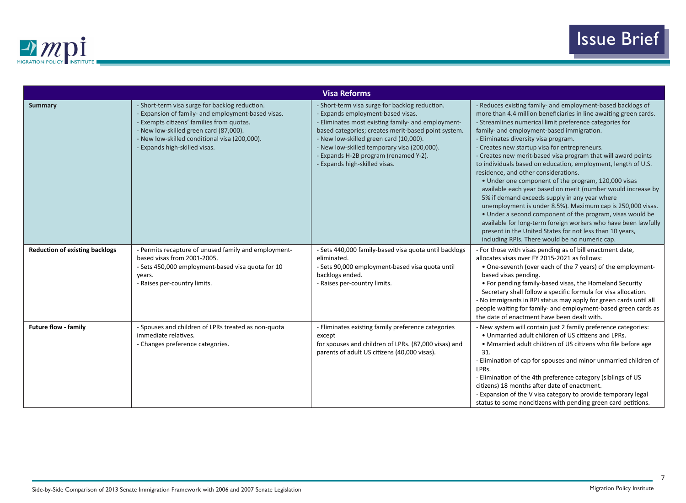

| <b>Visa Reforms</b>                   |                                                                                                                                                                                                                                                                               |                                                                                                                                                                                                                                                                                                                                                                     |                                                                                                                                                                                                                                                                                                                                                                                                                                                                                                                                                                                                                                                                                                                                                                                                                                                                                                                                                                                                |
|---------------------------------------|-------------------------------------------------------------------------------------------------------------------------------------------------------------------------------------------------------------------------------------------------------------------------------|---------------------------------------------------------------------------------------------------------------------------------------------------------------------------------------------------------------------------------------------------------------------------------------------------------------------------------------------------------------------|------------------------------------------------------------------------------------------------------------------------------------------------------------------------------------------------------------------------------------------------------------------------------------------------------------------------------------------------------------------------------------------------------------------------------------------------------------------------------------------------------------------------------------------------------------------------------------------------------------------------------------------------------------------------------------------------------------------------------------------------------------------------------------------------------------------------------------------------------------------------------------------------------------------------------------------------------------------------------------------------|
| <b>Summary</b>                        | - Short-term visa surge for backlog reduction.<br>- Expansion of family- and employment-based visas.<br>- Exempts citizens' families from quotas.<br>- New low-skilled green card (87,000).<br>- New low-skilled conditional visa (200,000).<br>- Expands high-skilled visas. | - Short-term visa surge for backlog reduction.<br>- Expands employment-based visas.<br>- Eliminates most existing family- and employment-<br>based categories; creates merit-based point system.<br>- New low-skilled green card (10,000).<br>- New low-skilled temporary visa (200,000).<br>- Expands H-2B program (renamed Y-2).<br>- Expands high-skilled visas. | - Reduces existing family- and employment-based backlogs of<br>more than 4.4 million beneficiaries in line awaiting green cards.<br>- Streamlines numerical limit preference categories for<br>family- and employment-based immigration.<br>- Eliminates diversity visa program.<br>- Creates new startup visa for entrepreneurs.<br>- Creates new merit-based visa program that will award points<br>to individuals based on education, employment, length of U.S.<br>residence, and other considerations.<br>• Under one component of the program, 120,000 visas<br>available each year based on merit (number would increase by<br>5% if demand exceeds supply in any year where<br>unemployment is under 8.5%). Maximum cap is 250,000 visas.<br>• Under a second component of the program, visas would be<br>available for long-term foreign workers who have been lawfully<br>present in the United States for not less than 10 years,<br>including RPIs. There would be no numeric cap. |
| <b>Reduction of existing backlogs</b> | - Permits recapture of unused family and employment-<br>based visas from 2001-2005.<br>- Sets 450,000 employment-based visa quota for 10<br>years.<br>- Raises per-country limits.                                                                                            | - Sets 440,000 family-based visa quota until backlogs<br>eliminated.<br>- Sets 90,000 employment-based visa quota until<br>backlogs ended.<br>- Raises per-country limits.                                                                                                                                                                                          | - For those with visas pending as of bill enactment date,<br>allocates visas over FY 2015-2021 as follows:<br>• One-seventh (over each of the 7 years) of the employment-<br>based visas pending.<br>• For pending family-based visas, the Homeland Security<br>Secretary shall follow a specific formula for visa allocation.<br>- No immigrants in RPI status may apply for green cards until all<br>people waiting for family- and employment-based green cards as<br>the date of enactment have been dealt with.                                                                                                                                                                                                                                                                                                                                                                                                                                                                           |
| <b>Future flow - family</b>           | - Spouses and children of LPRs treated as non-quota<br>immediate relatives.<br>- Changes preference categories.                                                                                                                                                               | - Eliminates existing family preference categories<br>except<br>for spouses and children of LPRs. (87,000 visas) and<br>parents of adult US citizens (40,000 visas).                                                                                                                                                                                                | - New system will contain just 2 family preference categories:<br>. Unmarried adult children of US citizens and LPRs.<br>• Mmarried adult children of US citizens who file before age<br>31.<br>- Elimination of cap for spouses and minor unmarried children of<br>LPRs.<br>- Elimination of the 4th preference category (siblings of US<br>citizens) 18 months after date of enactment.<br>- Expansion of the V visa category to provide temporary legal<br>status to some noncitizens with pending green card petitions.                                                                                                                                                                                                                                                                                                                                                                                                                                                                    |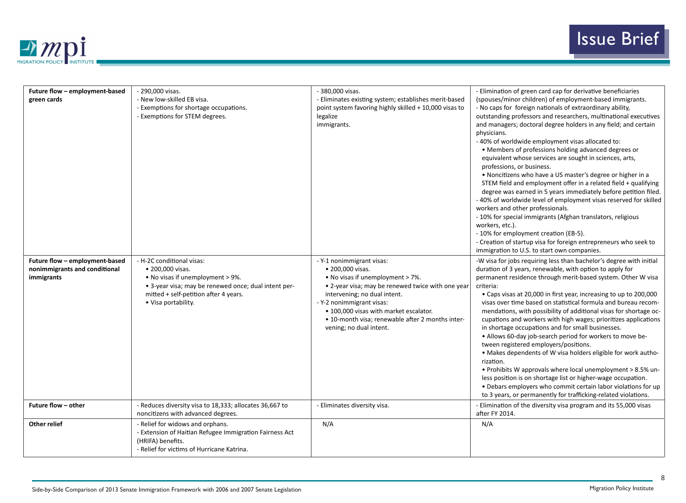

| Future flow - employment-based<br>green cards                                 | - 290,000 visas.<br>- New low-skilled EB visa.<br>- Exemptions for shortage occupations.<br>- Exemptions for STEM degrees.                                                                                | - 380,000 visas.<br>- Eliminates existing system; establishes merit-based<br>point system favoring highly skilled + 10,000 visas to<br>legalize<br>immigrants.                                                                                                                                                               | - Elimination of green card cap for derivative beneficiaries<br>(spouses/minor children) of employment-based immigrants.<br>- No caps for foreign nationals of extraordinary ability,<br>outstanding professors and researchers, multinational executives<br>and managers; doctoral degree holders in any field; and certain<br>physicians.<br>- 40% of worldwide employment visas allocated to:<br>• Members of professions holding advanced degrees or<br>equivalent whose services are sought in sciences, arts,<br>professions, or business.<br>. Noncitizens who have a US master's degree or higher in a<br>STEM field and employment offer in a related field + qualifying<br>degree was earned in 5 years immediately before petition filed.<br>- 40% of worldwide level of employment visas reserved for skilled<br>workers and other professionals.<br>- 10% for special immigrants (Afghan translators, religious<br>workers, etc.).<br>- 10% for employment creation (EB-5).<br>- Creation of startup visa for foreign entrepreneurs who seek to<br>immigration to U.S. to start own companies. |
|-------------------------------------------------------------------------------|-----------------------------------------------------------------------------------------------------------------------------------------------------------------------------------------------------------|------------------------------------------------------------------------------------------------------------------------------------------------------------------------------------------------------------------------------------------------------------------------------------------------------------------------------|-------------------------------------------------------------------------------------------------------------------------------------------------------------------------------------------------------------------------------------------------------------------------------------------------------------------------------------------------------------------------------------------------------------------------------------------------------------------------------------------------------------------------------------------------------------------------------------------------------------------------------------------------------------------------------------------------------------------------------------------------------------------------------------------------------------------------------------------------------------------------------------------------------------------------------------------------------------------------------------------------------------------------------------------------------------------------------------------------------------|
| Future flow - employment-based<br>nonimmigrants and conditional<br>immigrants | - H-2C conditional visas:<br>• 200,000 visas.<br>• No visas if unemployment > 9%.<br>• 3-year visa; may be renewed once; dual intent per-<br>mitted + self-petition after 4 years.<br>• Visa portability. | - Y-1 nonimmigrant visas:<br>• 200,000 visas.<br>• No visas if unemployment > 7%.<br>• 2-year visa; may be renewed twice with one year<br>intervening; no dual intent.<br>- Y-2 nonimmigrant visas:<br>• 100,000 visas with market escalator.<br>• 10-month visa; renewable after 2 months inter-<br>vening; no dual intent. | -W visa for jobs requiring less than bachelor's degree with initial<br>duration of 3 years, renewable, with option to apply for<br>permanent residence through merit-based system. Other W visa<br>criteria:<br>• Caps visas at 20,000 in first year, increasing to up to 200,000<br>visas over time based on statistical formula and bureau recom-<br>mendations, with possibility of additional visas for shortage oc-<br>cupations and workers with high wages; prioritizes applications<br>in shortage occupations and for small businesses.<br>• Allows 60-day job-search period for workers to move be-<br>tween registered employers/positions.<br>• Makes dependents of W visa holders eligible for work autho-<br>rization.<br>• Prohibits W approvals where local unemployment > 8.5% un-<br>less position is on shortage list or higher-wage occupation.<br>• Debars employers who commit certain labor violations for up<br>to 3 years, or permanently for trafficking-related violations.                                                                                                      |
| Future flow - other                                                           | - Reduces diversity visa to 18,333; allocates 36,667 to<br>noncitizens with advanced degrees.                                                                                                             | - Eliminates diversity visa.                                                                                                                                                                                                                                                                                                 | - Elimination of the diversity visa program and its 55,000 visas<br>after FY 2014.                                                                                                                                                                                                                                                                                                                                                                                                                                                                                                                                                                                                                                                                                                                                                                                                                                                                                                                                                                                                                          |
| Other relief                                                                  | - Relief for widows and orphans.<br>- Extension of Haitian Refugee Immigration Fairness Act<br>(HRIFA) benefits.<br>- Relief for victims of Hurricane Katrina.                                            | N/A                                                                                                                                                                                                                                                                                                                          | N/A                                                                                                                                                                                                                                                                                                                                                                                                                                                                                                                                                                                                                                                                                                                                                                                                                                                                                                                                                                                                                                                                                                         |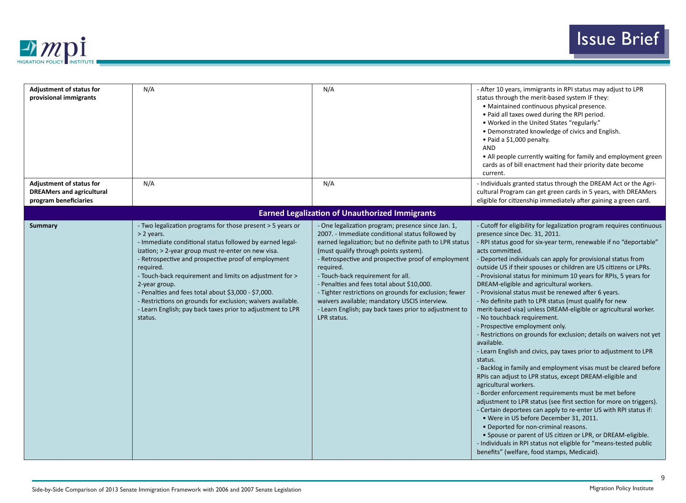

| <b>Adjustment of status for</b><br>provisional immigrants<br><b>Adjustment of status for</b> | N/A<br>N/A                                                                                                                                                                                                                                                                                                                                                                                                                                                                                                                                | N/A<br>N/A                                                                                                                                                                                                                                                                                                                                                                                                                                                                                                                                            | - After 10 years, immigrants in RPI status may adjust to LPR<br>status through the merit-based system IF they:<br>• Maintained continuous physical presence.<br>• Paid all taxes owed during the RPI period.<br>• Worked in the United States "regularly."<br>• Demonstrated knowledge of civics and English.<br>• Paid a \$1,000 penalty.<br><b>AND</b><br>• All people currently waiting for family and employment green<br>cards as of bill enactment had their priority date become<br>current.<br>- Individuals granted status through the DREAM Act or the Agri-                                                                                                                                                                                                                                                                                                                                                                                                                                                                                                                                                                                                                                                                                                                                                                                                                                                                                                                                    |
|----------------------------------------------------------------------------------------------|-------------------------------------------------------------------------------------------------------------------------------------------------------------------------------------------------------------------------------------------------------------------------------------------------------------------------------------------------------------------------------------------------------------------------------------------------------------------------------------------------------------------------------------------|-------------------------------------------------------------------------------------------------------------------------------------------------------------------------------------------------------------------------------------------------------------------------------------------------------------------------------------------------------------------------------------------------------------------------------------------------------------------------------------------------------------------------------------------------------|-----------------------------------------------------------------------------------------------------------------------------------------------------------------------------------------------------------------------------------------------------------------------------------------------------------------------------------------------------------------------------------------------------------------------------------------------------------------------------------------------------------------------------------------------------------------------------------------------------------------------------------------------------------------------------------------------------------------------------------------------------------------------------------------------------------------------------------------------------------------------------------------------------------------------------------------------------------------------------------------------------------------------------------------------------------------------------------------------------------------------------------------------------------------------------------------------------------------------------------------------------------------------------------------------------------------------------------------------------------------------------------------------------------------------------------------------------------------------------------------------------------|
| <b>DREAMers and agricultural</b><br>program beneficiaries                                    |                                                                                                                                                                                                                                                                                                                                                                                                                                                                                                                                           |                                                                                                                                                                                                                                                                                                                                                                                                                                                                                                                                                       | cultural Program can get green cards in 5 years, with DREAMers<br>eligible for citizenship immediately after gaining a green card.                                                                                                                                                                                                                                                                                                                                                                                                                                                                                                                                                                                                                                                                                                                                                                                                                                                                                                                                                                                                                                                                                                                                                                                                                                                                                                                                                                        |
|                                                                                              |                                                                                                                                                                                                                                                                                                                                                                                                                                                                                                                                           | <b>Earned Legalization of Unauthorized Immigrants</b>                                                                                                                                                                                                                                                                                                                                                                                                                                                                                                 |                                                                                                                                                                                                                                                                                                                                                                                                                                                                                                                                                                                                                                                                                                                                                                                                                                                                                                                                                                                                                                                                                                                                                                                                                                                                                                                                                                                                                                                                                                           |
| <b>Summary</b>                                                                               | - Two legalization programs for those present > 5 years or<br>> 2 years.<br>- Immediate conditional status followed by earned legal-<br>ization; > 2-year group must re-enter on new visa.<br>- Retrospective and prospective proof of employment<br>required.<br>- Touch-back requirement and limits on adjustment for ><br>2-year group.<br>- Penalties and fees total about \$3,000 - \$7,000.<br>- Restrictions on grounds for exclusion; waivers available.<br>- Learn English; pay back taxes prior to adjustment to LPR<br>status. | - One legalization program; presence since Jan. 1,<br>2007. - Immediate conditional status followed by<br>earned legalization; but no definite path to LPR status<br>(must qualify through points system).<br>- Retrospective and prospective proof of employment<br>required.<br>- Touch-back requirement for all.<br>- Penalties and fees total about \$10,000.<br>- Tighter restrictions on grounds for exclusion; fewer<br>waivers available; mandatory USCIS interview.<br>- Learn English; pay back taxes prior to adjustment to<br>LPR status. | - Cutoff for eligibility for legalization program requires continuous<br>presence since Dec. 31, 2011.<br>- RPI status good for six-year term, renewable if no "deportable"<br>acts committed.<br>- Deported individuals can apply for provisional status from<br>outside US if their spouses or children are US citizens or LPRs.<br>- Provisional status for minimum 10 years for RPIs, 5 years for<br>DREAM-eligible and agricultural workers.<br>- Provisional status must be renewed after 6 years.<br>- No definite path to LPR status (must qualify for new<br>merit-based visa) unless DREAM-eligible or agricultural worker.<br>- No touchback requirement.<br>- Prospective employment only.<br>- Restrictions on grounds for exclusion; details on waivers not yet<br>available.<br>- Learn English and civics, pay taxes prior to adjustment to LPR<br>status.<br>- Backlog in family and employment visas must be cleared before<br>RPIs can adjust to LPR status, except DREAM-eligible and<br>agricultural workers.<br>- Border enforcement requirements must be met before<br>adjustment to LPR status (see first section for more on triggers).<br>- Certain deportees can apply to re-enter US with RPI status if:<br>• Were in US before December 31, 2011.<br>• Deported for non-criminal reasons.<br>• Spouse or parent of US citizen or LPR, or DREAM-eligible.<br>- Individuals in RPI status not eligible for "means-tested public<br>benefits" (welfare, food stamps, Medicaid). |

9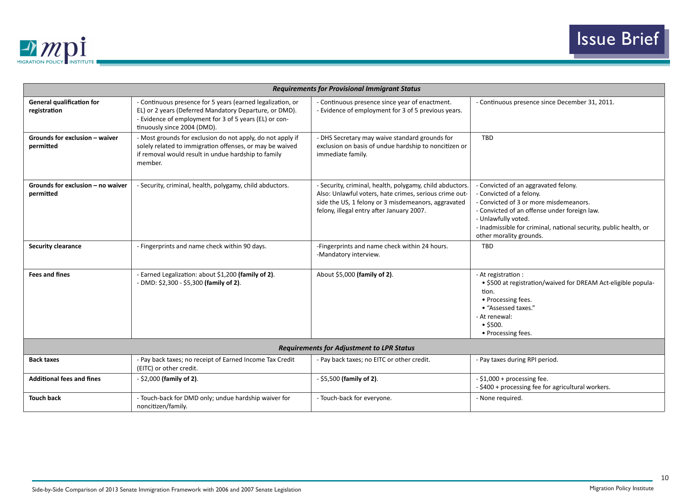

|                                                  |                                                                                                                                                                                                               | <b>Requirements for Provisional Immigrant Status</b>                                                                                                                                                                   |                                                                                                                                                                                                                                                                                   |
|--------------------------------------------------|---------------------------------------------------------------------------------------------------------------------------------------------------------------------------------------------------------------|------------------------------------------------------------------------------------------------------------------------------------------------------------------------------------------------------------------------|-----------------------------------------------------------------------------------------------------------------------------------------------------------------------------------------------------------------------------------------------------------------------------------|
| <b>General qualification for</b><br>registration | - Continuous presence for 5 years (earned legalization, or<br>EL) or 2 years (Deferred Mandatory Departure, or DMD).<br>- Evidence of employment for 3 of 5 years (EL) or con-<br>tinuously since 2004 (DMD). | - Continuous presence since year of enactment.<br>- Evidence of employment for 3 of 5 previous years.                                                                                                                  | - Continuous presence since December 31, 2011.                                                                                                                                                                                                                                    |
| Grounds for exclusion - waiver<br>permitted      | - Most grounds for exclusion do not apply, do not apply if<br>solely related to immigration offenses, or may be waived<br>if removal would result in undue hardship to family<br>member.                      | - DHS Secretary may waive standard grounds for<br>exclusion on basis of undue hardship to noncitizen or<br>immediate family.                                                                                           | <b>TBD</b>                                                                                                                                                                                                                                                                        |
| Grounds for exclusion $-$ no waiver<br>permitted | - Security, criminal, health, polygamy, child abductors.                                                                                                                                                      | - Security, criminal, health, polygamy, child abductors.<br>Also: Unlawful voters, hate crimes, serious crime out-<br>side the US, 1 felony or 3 misdemeanors, aggravated<br>felony, illegal entry after January 2007. | - Convicted of an aggravated felony.<br>- Convicted of a felony.<br>- Convicted of 3 or more misdemeanors.<br>- Convicted of an offense under foreign law.<br>- Unlawfully voted.<br>- Inadmissible for criminal, national security, public health, or<br>other morality grounds. |
| <b>Security clearance</b>                        | - Fingerprints and name check within 90 days.                                                                                                                                                                 | -Fingerprints and name check within 24 hours.<br>-Mandatory interview.                                                                                                                                                 | <b>TBD</b>                                                                                                                                                                                                                                                                        |
| <b>Fees and fines</b>                            | - Earned Legalization: about \$1,200 (family of 2).<br>- DMD: \$2,300 - \$5,300 (family of 2).                                                                                                                | About \$5,000 (family of 2).                                                                                                                                                                                           | - At registration :<br>• \$500 at registration/waived for DREAM Act-eligible popula-<br>tion.<br>• Processing fees.<br>• "Assessed taxes."<br>- At renewal:<br>$•$ \$500.<br>• Processing fees.                                                                                   |
|                                                  |                                                                                                                                                                                                               | <b>Requirements for Adjustment to LPR Status</b>                                                                                                                                                                       |                                                                                                                                                                                                                                                                                   |
| <b>Back taxes</b>                                | - Pay back taxes; no receipt of Earned Income Tax Credit<br>(EITC) or other credit.                                                                                                                           | - Pay back taxes; no EITC or other credit.                                                                                                                                                                             | - Pay taxes during RPI period.                                                                                                                                                                                                                                                    |
| <b>Additional fees and fines</b>                 | $-$ \$2,000 (family of 2).                                                                                                                                                                                    | $-$ \$5,500 (family of 2).                                                                                                                                                                                             | - \$1,000 + processing fee.<br>- \$400 + processing fee for agricultural workers.                                                                                                                                                                                                 |
| <b>Touch back</b>                                | - Touch-back for DMD only; undue hardship waiver for<br>noncitizen/family.                                                                                                                                    | - Touch-back for everyone.                                                                                                                                                                                             | - None required.                                                                                                                                                                                                                                                                  |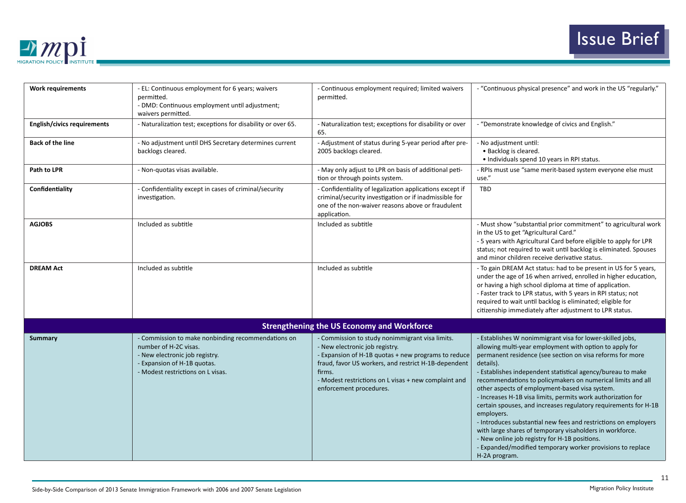

| <b>Work requirements</b>           | - EL: Continuous employment for 6 years; waivers<br>permitted.<br>- DMD: Continuous employment until adjustment;<br>waivers permitted.                                            | - Continuous employment required; limited waivers<br>permitted.                                                                                                                                                                                                                               | - "Continuous physical presence" and work in the US "regularly."                                                                                                                                                                                                                                                                                                                                                                                                                                                                                                                                                                                                                                                                                                                               |
|------------------------------------|-----------------------------------------------------------------------------------------------------------------------------------------------------------------------------------|-----------------------------------------------------------------------------------------------------------------------------------------------------------------------------------------------------------------------------------------------------------------------------------------------|------------------------------------------------------------------------------------------------------------------------------------------------------------------------------------------------------------------------------------------------------------------------------------------------------------------------------------------------------------------------------------------------------------------------------------------------------------------------------------------------------------------------------------------------------------------------------------------------------------------------------------------------------------------------------------------------------------------------------------------------------------------------------------------------|
| <b>English/civics requirements</b> | - Naturalization test; exceptions for disability or over 65.                                                                                                                      | - Naturalization test; exceptions for disability or over<br>65.                                                                                                                                                                                                                               | - "Demonstrate knowledge of civics and English."                                                                                                                                                                                                                                                                                                                                                                                                                                                                                                                                                                                                                                                                                                                                               |
| <b>Back of the line</b>            | - No adjustment until DHS Secretary determines current<br>backlogs cleared.                                                                                                       | - Adjustment of status during 5-year period after pre-<br>2005 backlogs cleared.                                                                                                                                                                                                              | - No adjustment until:<br>• Backlog is cleared.<br>· Individuals spend 10 years in RPI status.                                                                                                                                                                                                                                                                                                                                                                                                                                                                                                                                                                                                                                                                                                 |
| Path to LPR                        | - Non-quotas visas available.                                                                                                                                                     | - May only adjust to LPR on basis of additional peti-<br>tion or through points system.                                                                                                                                                                                                       | - RPIs must use "same merit-based system everyone else must<br>use."                                                                                                                                                                                                                                                                                                                                                                                                                                                                                                                                                                                                                                                                                                                           |
| Confidentiality                    | - Confidentiality except in cases of criminal/security<br>investigation.                                                                                                          | - Confidentiality of legalization applications except if<br>criminal/security investigation or if inadmissible for<br>one of the non-waiver reasons above or fraudulent<br>application.                                                                                                       | <b>TBD</b>                                                                                                                                                                                                                                                                                                                                                                                                                                                                                                                                                                                                                                                                                                                                                                                     |
| <b>AGJOBS</b>                      | Included as subtitle                                                                                                                                                              | Included as subtitle                                                                                                                                                                                                                                                                          | - Must show "substantial prior commitment" to agricultural work<br>in the US to get "Agricultural Card."<br>- 5 years with Agricultural Card before eligible to apply for LPR<br>status; not required to wait until backlog is eliminated. Spouses<br>and minor children receive derivative status.                                                                                                                                                                                                                                                                                                                                                                                                                                                                                            |
| <b>DREAM Act</b>                   | Included as subtitle                                                                                                                                                              | Included as subtitle                                                                                                                                                                                                                                                                          | - To gain DREAM Act status: had to be present in US for 5 years,<br>under the age of 16 when arrived, enrolled in higher education,<br>or having a high school diploma at time of application.<br>- Faster track to LPR status, with 5 years in RPI status; not<br>required to wait until backlog is eliminated; eligible for<br>citizenship immediately after adjustment to LPR status.                                                                                                                                                                                                                                                                                                                                                                                                       |
|                                    |                                                                                                                                                                                   | <b>Strengthening the US Economy and Workforce</b>                                                                                                                                                                                                                                             |                                                                                                                                                                                                                                                                                                                                                                                                                                                                                                                                                                                                                                                                                                                                                                                                |
| <b>Summary</b>                     | - Commission to make nonbinding recommendations on<br>number of H-2C visas.<br>- New electronic job registry.<br>- Expansion of H-1B quotas.<br>- Modest restrictions on L visas. | - Commission to study nonimmigrant visa limits.<br>- New electronic job registry.<br>- Expansion of H-1B quotas + new programs to reduce<br>fraud, favor US workers, and restrict H-1B-dependent<br>firms.<br>- Modest restrictions on L visas + new complaint and<br>enforcement procedures. | - Establishes W nonimmigrant visa for lower-skilled jobs,<br>allowing multi-year employment with option to apply for<br>permanent residence (see section on visa reforms for more<br>details).<br>- Establishes independent statistical agency/bureau to make<br>recommendations to policymakers on numerical limits and all<br>other aspects of employment-based visa system.<br>- Increases H-1B visa limits, permits work authorization for<br>certain spouses, and increases regulatory requirements for H-1B<br>employers.<br>- Introduces substantial new fees and restrictions on employers<br>with large shares of temporary visaholders in workforce.<br>- New online job registry for H-1B positions.<br>- Expanded/modified temporary worker provisions to replace<br>H-2A program. |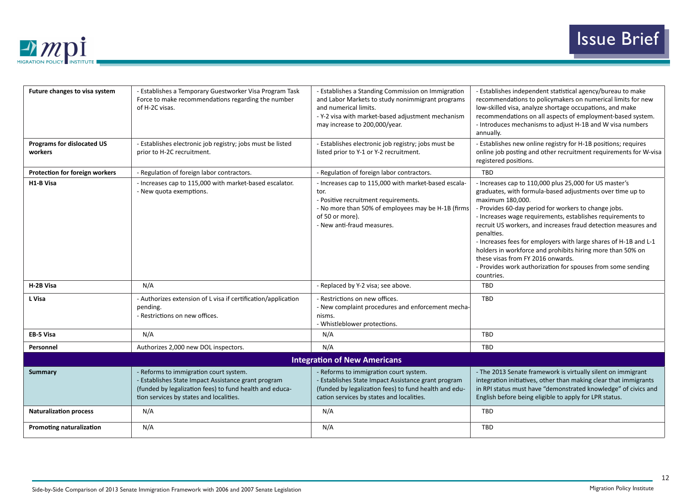

| Future changes to visa system<br><b>Programs for dislocated US</b> | - Establishes a Temporary Guestworker Visa Program Task<br>Force to make recommendations regarding the number<br>of H-2C visas.<br>- Establishes electronic job registry; jobs must be listed       | - Establishes a Standing Commission on Immigration<br>and Labor Markets to study nonimmigrant programs<br>and numerical limits.<br>- Y-2 visa with market-based adjustment mechanism<br>may increase to 200,000/year.<br>- Establishes electronic job registry; jobs must be | - Establishes independent statistical agency/bureau to make<br>recommendations to policymakers on numerical limits for new<br>low-skilled visa, analyze shortage occupations, and make<br>recommendations on all aspects of employment-based system.<br>- Introduces mechanisms to adjust H-1B and W visa numbers<br>annually.<br>- Establishes new online registry for H-1B positions; requires                                                                                                                                                                                                  |
|--------------------------------------------------------------------|-----------------------------------------------------------------------------------------------------------------------------------------------------------------------------------------------------|------------------------------------------------------------------------------------------------------------------------------------------------------------------------------------------------------------------------------------------------------------------------------|---------------------------------------------------------------------------------------------------------------------------------------------------------------------------------------------------------------------------------------------------------------------------------------------------------------------------------------------------------------------------------------------------------------------------------------------------------------------------------------------------------------------------------------------------------------------------------------------------|
| workers                                                            | prior to H-2C recruitment.                                                                                                                                                                          | listed prior to Y-1 or Y-2 recruitment.                                                                                                                                                                                                                                      | online job posting and other recruitment requirements for W-visa<br>registered positions.                                                                                                                                                                                                                                                                                                                                                                                                                                                                                                         |
| Protection for foreign workers                                     | - Regulation of foreign labor contractors.                                                                                                                                                          | - Regulation of foreign labor contractors.                                                                                                                                                                                                                                   | <b>TBD</b>                                                                                                                                                                                                                                                                                                                                                                                                                                                                                                                                                                                        |
| H1-B Visa                                                          | - Increases cap to 115,000 with market-based escalator.<br>- New quota exemptions.                                                                                                                  | - Increases cap to 115,000 with market-based escala-<br>tor.<br>- Positive recruitment requirements.<br>- No more than 50% of employees may be H-1B (firms<br>of 50 or more).<br>- New anti-fraud measures.                                                                  | - Increases cap to 110,000 plus 25,000 for US master's<br>graduates, with formula-based adjustments over time up to<br>maximum 180,000.<br>- Provides 60-day period for workers to change jobs.<br>- Increases wage requirements, establishes requirements to<br>recruit US workers, and increases fraud detection measures and<br>penalties.<br>- Increases fees for employers with large shares of H-1B and L-1<br>holders in workforce and prohibits hiring more than 50% on<br>these visas from FY 2016 onwards.<br>- Provides work authorization for spouses from some sending<br>countries. |
| H-2B Visa                                                          | N/A                                                                                                                                                                                                 | - Replaced by Y-2 visa; see above.                                                                                                                                                                                                                                           | <b>TBD</b>                                                                                                                                                                                                                                                                                                                                                                                                                                                                                                                                                                                        |
| L Visa                                                             | - Authorizes extension of L visa if certification/application<br>pending.<br>- Restrictions on new offices.                                                                                         | - Restrictions on new offices.<br>- New complaint procedures and enforcement mecha-<br>nisms.<br>- Whistleblower protections.                                                                                                                                                | <b>TBD</b>                                                                                                                                                                                                                                                                                                                                                                                                                                                                                                                                                                                        |
| <b>EB-5 Visa</b>                                                   | N/A                                                                                                                                                                                                 | N/A                                                                                                                                                                                                                                                                          | <b>TBD</b>                                                                                                                                                                                                                                                                                                                                                                                                                                                                                                                                                                                        |
| Personnel                                                          | Authorizes 2,000 new DOL inspectors.                                                                                                                                                                | N/A                                                                                                                                                                                                                                                                          | <b>TBD</b>                                                                                                                                                                                                                                                                                                                                                                                                                                                                                                                                                                                        |
|                                                                    |                                                                                                                                                                                                     | <b>Integration of New Americans</b>                                                                                                                                                                                                                                          |                                                                                                                                                                                                                                                                                                                                                                                                                                                                                                                                                                                                   |
| <b>Summary</b>                                                     | - Reforms to immigration court system.<br>- Establishes State Impact Assistance grant program<br>(funded by legalization fees) to fund health and educa-<br>tion services by states and localities. | - Reforms to immigration court system.<br>- Establishes State Impact Assistance grant program<br>(funded by legalization fees) to fund health and edu-<br>cation services by states and localities.                                                                          | - The 2013 Senate framework is virtually silent on immigrant<br>integration initiatives, other than making clear that immigrants<br>in RPI status must have "demonstrated knowledge" of civics and<br>English before being eligible to apply for LPR status.                                                                                                                                                                                                                                                                                                                                      |
| <b>Naturalization process</b>                                      | N/A                                                                                                                                                                                                 | N/A                                                                                                                                                                                                                                                                          | <b>TBD</b>                                                                                                                                                                                                                                                                                                                                                                                                                                                                                                                                                                                        |
| <b>Promoting naturalization</b>                                    | N/A                                                                                                                                                                                                 | N/A                                                                                                                                                                                                                                                                          | <b>TBD</b>                                                                                                                                                                                                                                                                                                                                                                                                                                                                                                                                                                                        |